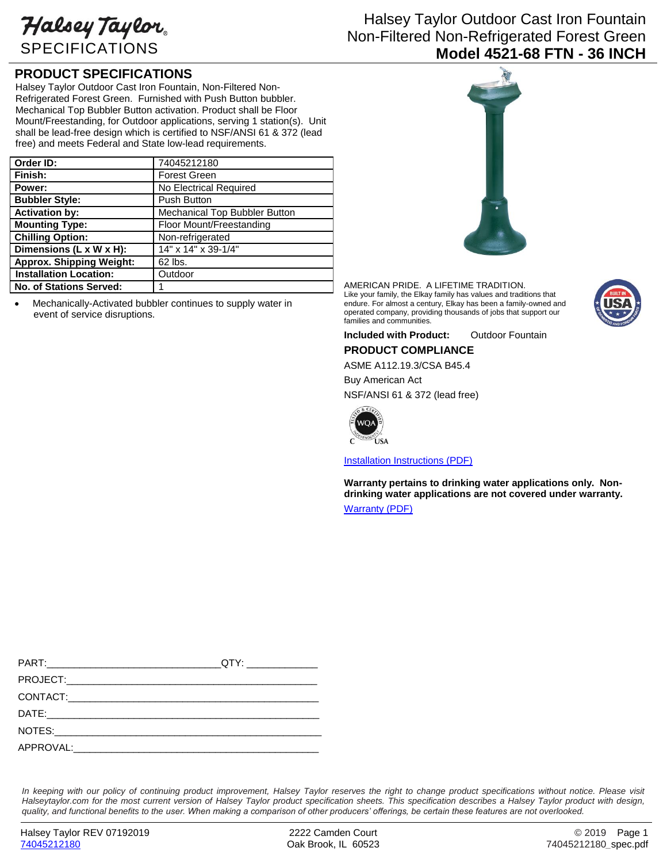Halsey Taylor SPECIFICATIONS

## Halsey Taylor Outdoor Cast Iron Fountain Non-Filtered Non-Refrigerated Forest Green **Model 4521-68 FTN - 36 INCH**

## **PRODUCT SPECIFICATIONS**

Halsey Taylor Outdoor Cast Iron Fountain, Non-Filtered Non-Refrigerated Forest Green. Furnished with Push Button bubbler. Mechanical Top Bubbler Button activation. Product shall be Floor Mount/Freestanding, for Outdoor applications, serving 1 station(s). Unit shall be lead-free design which is certified to NSF/ANSI 61 & 372 (lead free) and meets Federal and State low-lead requirements.

| Order ID:                       | 74045212180                   |
|---------------------------------|-------------------------------|
| Finish:                         | <b>Forest Green</b>           |
| Power:                          | No Electrical Required        |
| <b>Bubbler Style:</b>           | <b>Push Button</b>            |
| <b>Activation by:</b>           | Mechanical Top Bubbler Button |
| <b>Mounting Type:</b>           | Floor Mount/Freestanding      |
| <b>Chilling Option:</b>         | Non-refrigerated              |
| Dimensions (L x W x H):         | 14" x 14" x 39-1/4"           |
| <b>Approx. Shipping Weight:</b> | 62 lbs.                       |
| <b>Installation Location:</b>   | Outdoor                       |
| No. of Stations Served:         |                               |

 Mechanically-Activated bubbler continues to supply water in event of service disruptions.



AMERICAN PRIDE. A LIFETIME TRADITION. Like your family, the Elkay family has values and traditions that endure. For almost a century, Elkay has been a family-owned and operated company, providing thousands of jobs that support our families and communities.



**Included with Product:** Outdoor Fountain

**PRODUCT COMPLIANCE**

ASME A112.19.3/CSA B45.4

Buy American Act NSF/ANSI 61 & 372 (lead free)



[Installation Instructions \(PDF\)](http://www.elkay.com/wcsstore/lkdocs/care-cleaning-install-warranty-sheets/97002c.pdf)

**Warranty pertains to drinking water applications only. Nondrinking water applications are not covered under warranty.** [Warranty](http://www.elkay.com/wcsstore/lkdocs/care-cleaning-install-warranty-sheets/96994c.pdf) (PDF)

In keeping with our policy of continuing product improvement, Halsey Taylor reserves the right to change product specifications without notice. Please visit *Halseytaylor.com for the most current version of Halsey Taylor product specification sheets. This specification describes a Halsey Taylor product with design, quality, and functional benefits to the user. When making a comparison of other producers' offerings, be certain these features are not overlooked.*